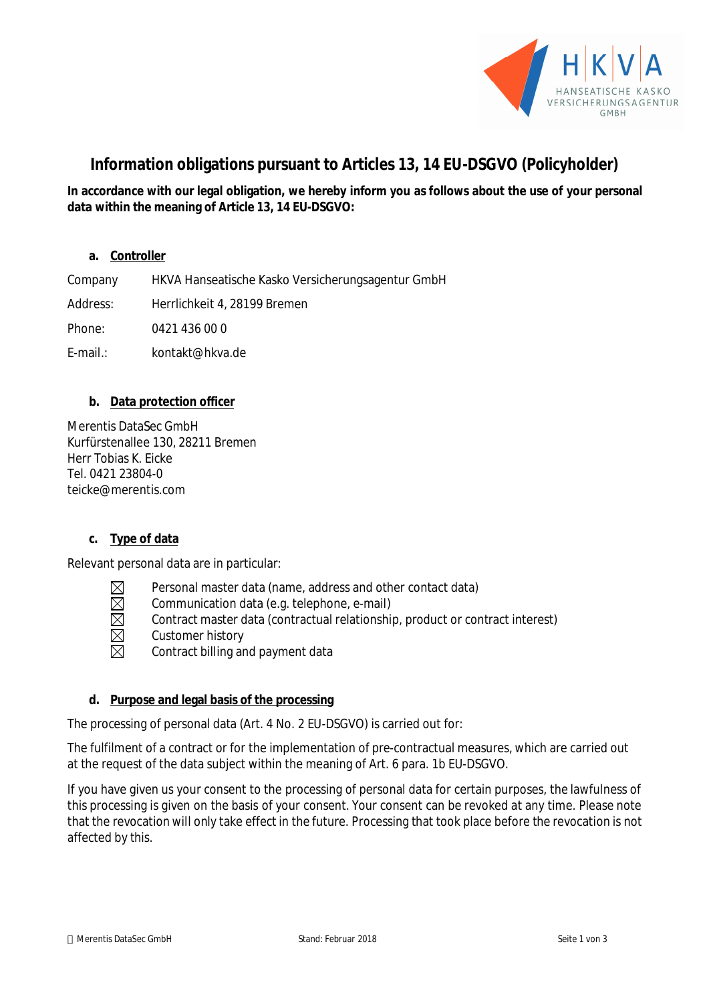

# **Information obligations pursuant to Articles 13, 14 EU-DSGVO (Policyholder)**

**In accordance with our legal obligation, we hereby inform you as follows about the use of your personal data within the meaning of Article 13, 14 EU-DSGVO:**

# **a. Controller**

Company HKVA Hanseatische Kasko Versicherungsagentur GmbH Address: Herrlichkeit 4, 28199 Bremen

Phone: 0421 436 00 0

E-mail.: kontakt@hkva.de

# **b. Data protection officer**

Merentis DataSec GmbH Kurfürstenallee 130, 28211 Bremen Herr Tobias K. Eicke Tel. 0421 23804-0 teicke@merentis.com

# **c. Type of data**

Relevant personal data are in particular:

- Personal master data (name, address and other contact data)
- $\boxtimes$ Communication data (e.g. telephone, e-mail)
- Contract master data (contractual relationship, product or contract interest)
- Customer history
- Contract billing and payment data

# **d. Purpose and legal basis of the processing**

The processing of personal data (Art. 4 No. 2 EU-DSGVO) is carried out for:

The fulfilment of a contract or for the implementation of pre-contractual measures, which are carried out at the request of the data subject within the meaning of Art. 6 para. 1b EU-DSGVO.

If you have given us your consent to the processing of personal data for certain purposes, the lawfulness of this processing is given on the basis of your consent. Your consent can be revoked at any time. Please note that the revocation will only take effect in the future. Processing that took place before the revocation is not affected by this.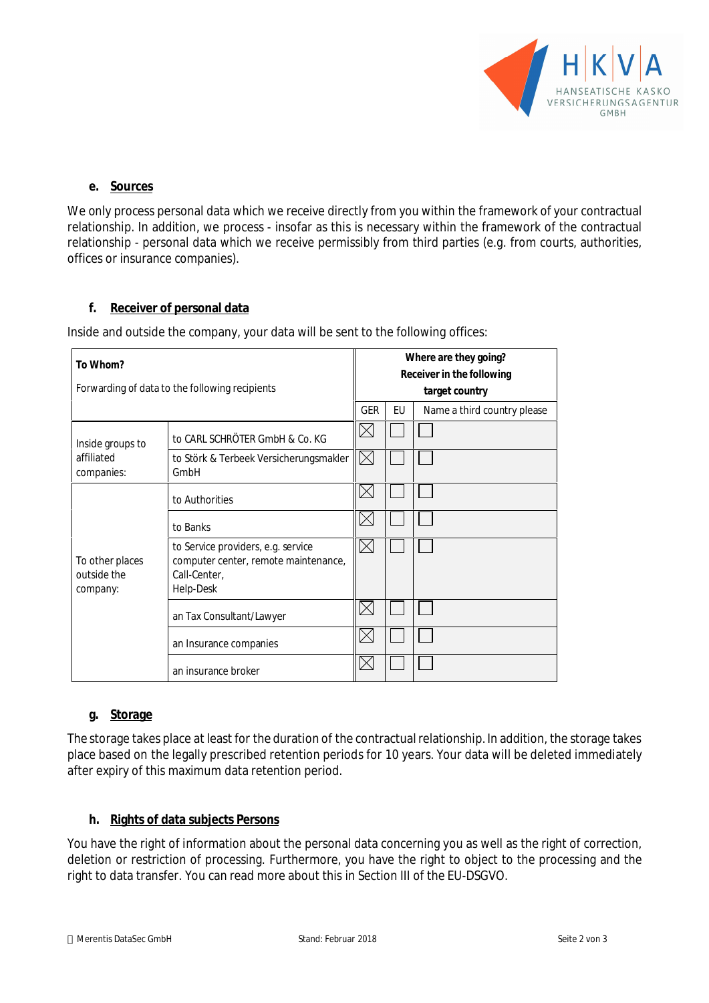

#### **e. Sources**

We only process personal data which we receive directly from you within the framework of your contractual relationship. In addition, we process - insofar as this is necessary within the framework of the contractual relationship - personal data which we receive permissibly from third parties (e.g. from courts, authorities, offices or insurance companies).

#### **f. Receiver of personal data**

Inside and outside the company, your data will be sent to the following offices:

| To Whom?<br>Forwarding of data to the following recipients |                                                                                                         | Where are they going?<br>Receiver in the following |  |                             |
|------------------------------------------------------------|---------------------------------------------------------------------------------------------------------|----------------------------------------------------|--|-----------------------------|
|                                                            |                                                                                                         | target country<br><b>GER</b><br>EU                 |  |                             |
|                                                            |                                                                                                         |                                                    |  | Name a third country please |
| Inside groups to<br>affiliated<br>companies:               | to CARL SCHRÖTER GmbH & Co. KG                                                                          | IX                                                 |  |                             |
|                                                            | to Störk & Terbeek Versicherungsmakler<br>GmbH                                                          | IХI                                                |  |                             |
| To other places<br>outside the<br>company:                 | to Authorities                                                                                          | ΙX                                                 |  |                             |
|                                                            | to Banks                                                                                                | $\mathsf{ \times}$                                 |  |                             |
|                                                            | to Service providers, e.g. service<br>computer center, remote maintenance,<br>Call-Center,<br>Help-Desk | $\boxtimes$                                        |  |                             |
|                                                            | an Tax Consultant/Lawyer                                                                                | IXI                                                |  |                             |
|                                                            | an Insurance companies                                                                                  | IXI                                                |  |                             |
|                                                            | an insurance broker                                                                                     |                                                    |  |                             |

# **g. Storage**

The storage takes place at least for the duration of the contractual relationship. In addition, the storage takes place based on the legally prescribed retention periods for 10 years. Your data will be deleted immediately after expiry of this maximum data retention period.

# **h. Rights of data subjects Persons**

You have the right of information about the personal data concerning you as well as the right of correction, deletion or restriction of processing. Furthermore, you have the right to object to the processing and the right to data transfer. You can read more about this in Section III of the EU-DSGVO.